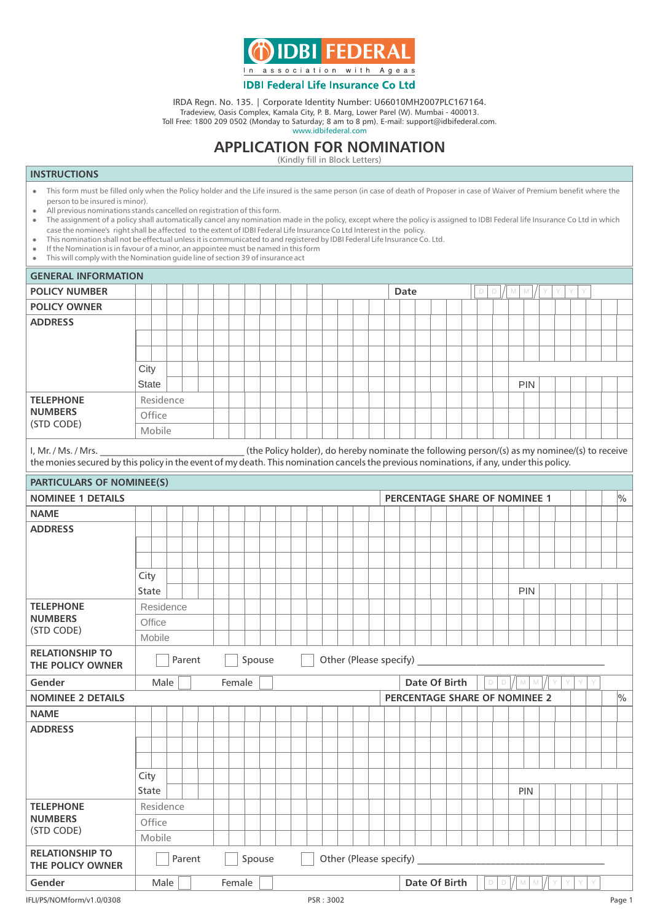

IRDA Regn. No. 135. | Corporate Identity Number: U66010MH2007PLC167164.

Tradeview, Oasis Complex, Kamala City, P. B. Marg, Lower Parel (W). Mumbai - 400013.

Toll Free: 1800 209 0502 (Monday to Saturday; 8 am to 8 pm). E-mail: support@idbifederal.com. www.idbifederal.com

## **APPLICATION FOR NOMINATION**

(Kindly fill in Block Letters)

## **INSTRUCTIONS**

- l This form must be filled only when the Policy holder and the Life insured is the same person (in case of death of Proposer in case of Waiver of Premium benefit where the person to be insured is minor).
- All previous nominations stands cancelled on registration of this form.<br>• The assignment of a policy shall automatically cancel any nomination
- l The assignment of a policy shall automatically cancel any nomination made in the policy, except where the policy is assigned to IDBI Federal life Insurance Co Ltd in which case the nominee's right shall be affected to the extent of IDBI Federal Life Insurance Co Ltd Interest in the policy.
- l This nomination shall not be effectual unless it is communicated to and registered by IDBI Federal Life Insurance Co. Ltd.
- $\bullet$  If the Nomination is in favour of a minor, an appointee must be named in this form
- This will comply with the Nomination guide line of section 39 of insurance act

|                                                                                                                                                                                                                                                                     | <b>GENERAL INFORMATION</b> |                                            |  |        |  |        |        |  |        |  |  |  |           |                                                                 |  |               |                               |  |                               |  |  |                  |        |                              |  |                    |   |  |  |  |  |        |
|---------------------------------------------------------------------------------------------------------------------------------------------------------------------------------------------------------------------------------------------------------------------|----------------------------|--------------------------------------------|--|--------|--|--------|--------|--|--------|--|--|--|-----------|-----------------------------------------------------------------|--|---------------|-------------------------------|--|-------------------------------|--|--|------------------|--------|------------------------------|--|--------------------|---|--|--|--|--|--------|
| <b>POLICY NUMBER</b>                                                                                                                                                                                                                                                |                            |                                            |  |        |  |        |        |  |        |  |  |  |           | Date<br>$\Box$<br>$\Box$<br>$\mathbbmss{M}$<br>M<br>Y<br>Y<br>Y |  |               |                               |  |                               |  |  |                  |        |                              |  |                    |   |  |  |  |  |        |
| <b>POLICY OWNER</b>                                                                                                                                                                                                                                                 |                            |                                            |  |        |  |        |        |  |        |  |  |  |           |                                                                 |  |               |                               |  |                               |  |  |                  |        |                              |  |                    |   |  |  |  |  |        |
| <b>ADDRESS</b>                                                                                                                                                                                                                                                      |                            |                                            |  |        |  |        |        |  |        |  |  |  |           |                                                                 |  |               |                               |  |                               |  |  |                  |        |                              |  |                    |   |  |  |  |  |        |
|                                                                                                                                                                                                                                                                     |                            |                                            |  |        |  |        |        |  |        |  |  |  |           |                                                                 |  |               |                               |  |                               |  |  |                  |        |                              |  |                    |   |  |  |  |  |        |
|                                                                                                                                                                                                                                                                     |                            |                                            |  |        |  |        |        |  |        |  |  |  |           |                                                                 |  |               |                               |  |                               |  |  |                  |        |                              |  |                    |   |  |  |  |  |        |
|                                                                                                                                                                                                                                                                     | City                       |                                            |  |        |  |        |        |  |        |  |  |  |           |                                                                 |  |               |                               |  |                               |  |  |                  |        |                              |  |                    |   |  |  |  |  |        |
|                                                                                                                                                                                                                                                                     | <b>State</b>               |                                            |  |        |  |        |        |  |        |  |  |  |           |                                                                 |  |               |                               |  |                               |  |  |                  |        |                              |  | <b>PIN</b>         |   |  |  |  |  |        |
| <b>TELEPHONE</b>                                                                                                                                                                                                                                                    |                            | Residence                                  |  |        |  |        |        |  |        |  |  |  |           |                                                                 |  |               |                               |  |                               |  |  |                  |        |                              |  |                    |   |  |  |  |  |        |
| <b>NUMBERS</b><br>(STD CODE)                                                                                                                                                                                                                                        |                            | Office                                     |  |        |  |        |        |  |        |  |  |  |           |                                                                 |  |               |                               |  |                               |  |  |                  |        |                              |  |                    |   |  |  |  |  |        |
|                                                                                                                                                                                                                                                                     |                            | Mobile                                     |  |        |  |        |        |  |        |  |  |  |           |                                                                 |  |               |                               |  |                               |  |  |                  |        |                              |  |                    |   |  |  |  |  |        |
| (the Policy holder), do hereby nominate the following person/(s) as my nominee/(s) to receive<br>I, Mr. / Ms. / Mrs. __<br>the monies secured by this policy in the event of my death. This nomination cancels the previous nominations, if any, under this policy. |                            |                                            |  |        |  |        |        |  |        |  |  |  |           |                                                                 |  |               |                               |  |                               |  |  |                  |        |                              |  |                    |   |  |  |  |  |        |
| PARTICULARS OF NOMINEE(S)                                                                                                                                                                                                                                           |                            |                                            |  |        |  |        |        |  |        |  |  |  |           |                                                                 |  |               |                               |  |                               |  |  |                  |        |                              |  |                    |   |  |  |  |  |        |
| <b>NOMINEE 1 DETAILS</b>                                                                                                                                                                                                                                            |                            |                                            |  |        |  |        |        |  |        |  |  |  |           |                                                                 |  |               | PERCENTAGE SHARE OF NOMINEE 1 |  |                               |  |  |                  |        |                              |  |                    |   |  |  |  |  | $\%$   |
| <b>NAME</b>                                                                                                                                                                                                                                                         |                            |                                            |  |        |  |        |        |  |        |  |  |  |           |                                                                 |  |               |                               |  |                               |  |  |                  |        |                              |  |                    |   |  |  |  |  |        |
| <b>ADDRESS</b>                                                                                                                                                                                                                                                      |                            |                                            |  |        |  |        |        |  |        |  |  |  |           |                                                                 |  |               |                               |  |                               |  |  |                  |        |                              |  |                    |   |  |  |  |  |        |
|                                                                                                                                                                                                                                                                     |                            |                                            |  |        |  |        |        |  |        |  |  |  |           |                                                                 |  |               |                               |  |                               |  |  |                  |        |                              |  |                    |   |  |  |  |  |        |
|                                                                                                                                                                                                                                                                     |                            |                                            |  |        |  |        |        |  |        |  |  |  |           |                                                                 |  |               |                               |  |                               |  |  |                  |        |                              |  |                    |   |  |  |  |  |        |
|                                                                                                                                                                                                                                                                     | City                       |                                            |  |        |  |        |        |  |        |  |  |  |           |                                                                 |  |               |                               |  |                               |  |  |                  |        |                              |  |                    |   |  |  |  |  |        |
|                                                                                                                                                                                                                                                                     | State                      |                                            |  |        |  |        |        |  |        |  |  |  |           |                                                                 |  |               |                               |  |                               |  |  |                  |        |                              |  | <b>PIN</b>         |   |  |  |  |  |        |
| <b>TELEPHONE</b>                                                                                                                                                                                                                                                    |                            | Residence                                  |  |        |  |        |        |  |        |  |  |  |           |                                                                 |  |               |                               |  |                               |  |  |                  |        |                              |  |                    |   |  |  |  |  |        |
| <b>NUMBERS</b>                                                                                                                                                                                                                                                      | Office                     |                                            |  |        |  |        |        |  |        |  |  |  |           |                                                                 |  |               |                               |  |                               |  |  |                  |        |                              |  |                    |   |  |  |  |  |        |
| (STD CODE)                                                                                                                                                                                                                                                          |                            | Mobile                                     |  |        |  |        |        |  |        |  |  |  |           |                                                                 |  |               |                               |  |                               |  |  |                  |        |                              |  |                    |   |  |  |  |  |        |
| <b>RELATIONSHIP TO</b><br>THE POLICY OWNER                                                                                                                                                                                                                          |                            | Other (Please specify)<br>Parent<br>Spouse |  |        |  |        |        |  |        |  |  |  |           |                                                                 |  |               |                               |  |                               |  |  |                  |        |                              |  |                    |   |  |  |  |  |        |
| Gender                                                                                                                                                                                                                                                              |                            | Male                                       |  |        |  | Female |        |  |        |  |  |  |           |                                                                 |  | Date Of Birth |                               |  |                               |  |  | $\Box$<br>$\Box$ |        | $\mathbb{M}$<br>$\mathbb{M}$ |  | Y                  | Y |  |  |  |  |        |
| <b>NOMINEE 2 DETAILS</b>                                                                                                                                                                                                                                            |                            |                                            |  |        |  |        |        |  |        |  |  |  |           |                                                                 |  |               |                               |  | PERCENTAGE SHARE OF NOMINEE 2 |  |  |                  |        |                              |  |                    |   |  |  |  |  | $\%$   |
| <b>NAME</b>                                                                                                                                                                                                                                                         |                            |                                            |  |        |  |        |        |  |        |  |  |  |           |                                                                 |  |               |                               |  |                               |  |  |                  |        |                              |  |                    |   |  |  |  |  |        |
| <b>ADDRESS</b>                                                                                                                                                                                                                                                      |                            |                                            |  |        |  |        |        |  |        |  |  |  |           |                                                                 |  |               |                               |  |                               |  |  |                  |        |                              |  |                    |   |  |  |  |  |        |
|                                                                                                                                                                                                                                                                     |                            |                                            |  |        |  |        |        |  |        |  |  |  |           |                                                                 |  |               |                               |  |                               |  |  |                  |        |                              |  |                    |   |  |  |  |  |        |
|                                                                                                                                                                                                                                                                     |                            |                                            |  |        |  |        |        |  |        |  |  |  |           |                                                                 |  |               |                               |  |                               |  |  |                  |        |                              |  |                    |   |  |  |  |  |        |
|                                                                                                                                                                                                                                                                     | City                       |                                            |  |        |  |        |        |  |        |  |  |  |           |                                                                 |  |               |                               |  |                               |  |  |                  |        |                              |  |                    |   |  |  |  |  |        |
|                                                                                                                                                                                                                                                                     | State                      |                                            |  |        |  |        |        |  |        |  |  |  |           |                                                                 |  |               |                               |  |                               |  |  |                  |        |                              |  | <b>PIN</b>         |   |  |  |  |  |        |
| <b>TELEPHONE</b>                                                                                                                                                                                                                                                    |                            | Residence                                  |  |        |  |        |        |  |        |  |  |  |           |                                                                 |  |               |                               |  |                               |  |  |                  |        |                              |  |                    |   |  |  |  |  |        |
| <b>NUMBERS</b><br>(STD CODE)                                                                                                                                                                                                                                        |                            | Office                                     |  |        |  |        |        |  |        |  |  |  |           |                                                                 |  |               |                               |  |                               |  |  |                  |        |                              |  |                    |   |  |  |  |  |        |
|                                                                                                                                                                                                                                                                     |                            | Mobile                                     |  |        |  |        |        |  |        |  |  |  |           |                                                                 |  |               |                               |  |                               |  |  |                  |        |                              |  |                    |   |  |  |  |  |        |
| <b>RELATIONSHIP TO</b><br>THE POLICY OWNER                                                                                                                                                                                                                          |                            |                                            |  | Parent |  |        |        |  | Spouse |  |  |  |           |                                                                 |  |               |                               |  | Other (Please specify)        |  |  |                  |        |                              |  |                    |   |  |  |  |  |        |
| Gender                                                                                                                                                                                                                                                              |                            | Male                                       |  |        |  |        | Female |  |        |  |  |  |           |                                                                 |  |               |                               |  | Date Of Birth                 |  |  |                  | $\Box$ | $\Box$                       |  | ${\mathbb M}$<br>M |   |  |  |  |  |        |
| IFLI/PS/NOMform/v1.0/0308                                                                                                                                                                                                                                           |                            |                                            |  |        |  |        |        |  |        |  |  |  | PSR: 3002 |                                                                 |  |               |                               |  |                               |  |  |                  |        |                              |  |                    |   |  |  |  |  | Page 1 |